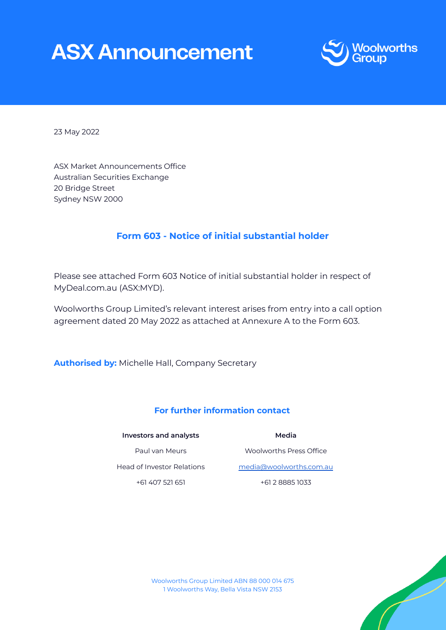# **ASX Announcement**



23 May 2022

ASX Market Announcements Office Australian Securities Exchange 20 Bridge Street Sydney NSW 2000

# **Form 603 - Notice of initial substantial holder**

Please see attached Form 603 Notice of initial substantial holder in respect of MyDeal.com.au (ASX:MYD).

Woolworths Group Limited's relevant interest arises from entry into a call option agreement dated 20 May 2022 as attached at Annexure A to the Form 603.

**Authorised by:** Michelle Hall, Company Secretary

# **For further information contact**

#### **Investors and analysts**

# **Media**

Paul van Meurs Head of Investor Relations +61 407 521 651

Woolworths Press Office [media@woolworths.com.au](mailto:media@woolworths.com.au) +61 2 8885 1033



Woolworths Group Limited ABN 88 000 014 675 1 Woolworths Way, Bella Vista NSW 2153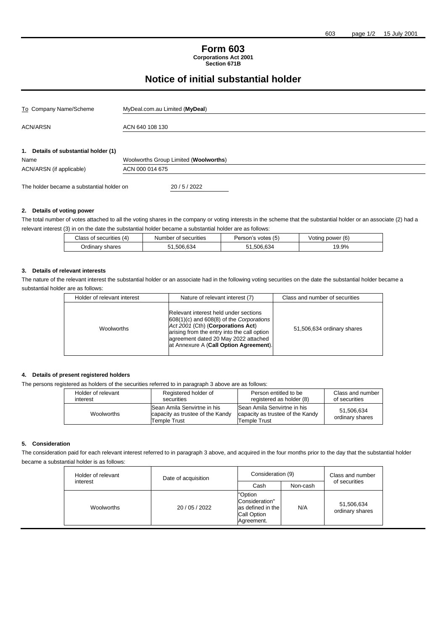#### **Form 603 Corporations Act 2001 Section 671B**

# **Notice of initial substantial holder**

| To Company Name/Scheme                    | MyDeal.com.au Limited (MyDeal)        |  |
|-------------------------------------------|---------------------------------------|--|
| <b>ACN/ARSN</b>                           | ACN 640 108 130                       |  |
| 1. Details of substantial holder (1)      |                                       |  |
| Name                                      | Woolworths Group Limited (Woolworths) |  |
| ACN/ARSN (if applicable)                  | ACN 000 014 675                       |  |
| The holder became a substantial holder on | 20/5/2022                             |  |

#### **2. Details of voting power**

The total number of votes attached to all the voting shares in the company or voting interests in the scheme that the substantial holder or an associate (2) had a relevant interest (3) in on the date the substantial holder became a substantial holder are as follows:

| Class of securities (4) | Number of securities | Person's votes (5) | Voting power (6) |
|-------------------------|----------------------|--------------------|------------------|
| Ordinary shares         | .506.634             | 51.506.634         | 19.9%            |

#### **3. Details of relevant interests**

The nature of the relevant interest the substantial holder or an associate had in the following voting securities on the date the substantial holder became a substantial holder are as follows:

| Holder of relevant interest |            | Nature of relevant interest (7)                                                                                                                                                                                                                             | Class and number of securities |  |
|-----------------------------|------------|-------------------------------------------------------------------------------------------------------------------------------------------------------------------------------------------------------------------------------------------------------------|--------------------------------|--|
|                             | Woolworths | Relevant interest held under sections<br>$608(1)(c)$ and $608(8)$ of the Corporations<br>Act 2001 (Cth) (Corporations Act)<br>arising from the entry into the call option<br>agreement dated 20 May 2022 attached<br>at Annexure A (Call Option Agreement). | 51,506,634 ordinary shares     |  |

#### **4. Details of present registered holders**

The persons registered as holders of the securities referred to in paragraph 3 above are as follows:

| Holder of relevant | Registered holder of                                                            | Person entitled to be                                                                  | Class and number              |
|--------------------|---------------------------------------------------------------------------------|----------------------------------------------------------------------------------------|-------------------------------|
| interest           | securities                                                                      | registered as holder (8)                                                               | of securities                 |
| Woolworths         | Sean Amila Senvirtne in his<br>capacity as trustee of the Kandy<br>Temple Trust | <b>Sean Amila Senvirtne in his</b><br>capacity as trustee of the Kandy<br>Temple Trust | 51,506,634<br>ordinary shares |

#### **5. Consideration**

The consideration paid for each relevant interest referred to in paragraph 3 above, and acquired in the four months prior to the day that the substantial holder became a substantial holder is as follows:

| Holder of relevant | Date of acquisition | Consideration (9)                                                           |          | Class and number              |
|--------------------|---------------------|-----------------------------------------------------------------------------|----------|-------------------------------|
| interest           |                     | Cash                                                                        | Non-cash | of securities                 |
| Woolworths         | 20 / 05 / 2022      | "Option<br>Consideration"<br>as defined in the<br>Call Option<br>Agreement. | N/A      | 51,506,634<br>ordinary shares |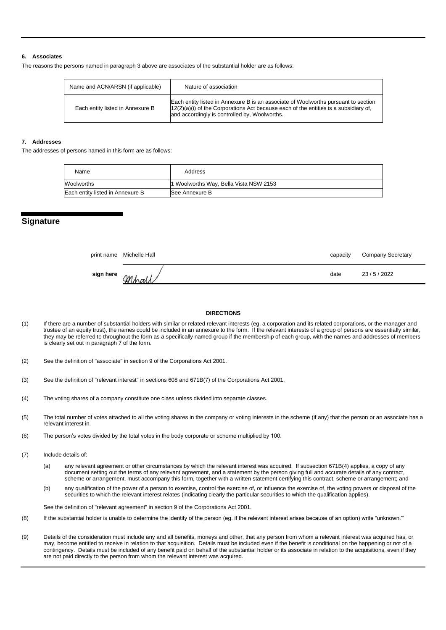#### **6. Associates**

The reasons the persons named in paragraph 3 above are associates of the substantial holder are as follows:

| Name and ACN/ARSN (if applicable) | Nature of association                                                                                                                                                                                                         |
|-----------------------------------|-------------------------------------------------------------------------------------------------------------------------------------------------------------------------------------------------------------------------------|
| Each entity listed in Annexure B  | Each entity listed in Annexure B is an associate of Woolworths pursuant to section<br>$12(2)(a)(i)$ of the Corporations Act because each of the entities is a subsidiary of,<br>and accordingly is controlled by, Woolworths. |

#### **7. Addresses**

The addresses of persons named in this form are as follows:

| Name                             | Address                                |
|----------------------------------|----------------------------------------|
| Woolworths                       | 1 Woolworths Way, Bella Vista NSW 2153 |
| Each entity listed in Annexure B | <b>See Annexure B</b>                  |

# **Signature**

|           | print name Michelle Hall | capacity | <b>Company Secretary</b> |
|-----------|--------------------------|----------|--------------------------|
| sign here | Mk                       | date     | 23/5/2022                |

#### **DIRECTIONS**

(1) If there are a number of substantial holders with similar or related relevant interests (eg. a corporation and its related corporations, or the manager and trustee of an equity trust), the names could be included in an annexure to the form. If the relevant interests of a group of persons are essentially similar, they may be referred to throughout the form as a specifically named group if the membership of each group, with the names and addresses of members is clearly set out in paragraph 7 of the form.

(2) See the definition of "associate" in section 9 of the Corporations Act 2001.

- (3) See the definition of "relevant interest" in sections 608 and 671B(7) of the Corporations Act 2001.
- (4) The voting shares of a company constitute one class unless divided into separate classes.
- (5) The total number of votes attached to all the voting shares in the company or voting interests in the scheme (if any) that the person or an associate has a relevant interest in.
- (6) The person's votes divided by the total votes in the body corporate or scheme multiplied by 100.
- (7) Include details of:
	- (a) any relevant agreement or other circumstances by which the relevant interest was acquired. If subsection 671B(4) applies, a copy of any document setting out the terms of any relevant agreement, and a statement by the person giving full and accurate details of any contract, scheme or arrangement, must accompany this form, together with a written statement certifying this contract, scheme or arrangement; and
	- (b) any qualification of the power of a person to exercise, control the exercise of, or influence the exercise of, the voting powers or disposal of the securities to which the relevant interest relates (indicating clearly the particular securities to which the qualification applies).

See the definition of "relevant agreement" in section 9 of the Corporations Act 2001.

- (8) If the substantial holder is unable to determine the identity of the person (eg. if the relevant interest arises because of an option) write "unknown.'"
- (9) Details of the consideration must include any and all benefits, moneys and other, that any person from whom a relevant interest was acquired has, or may, become entitled to receive in relation to that acquisition. Details must be included even if the benefit is conditional on the happening or not of a contingency. Details must be included of any benefit paid on behalf of the substantial holder or its associate in relation to the acquisitions, even if they are not paid directly to the person from whom the relevant interest was acquired.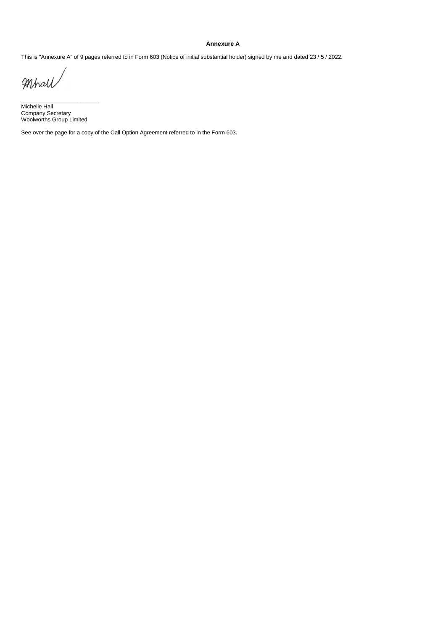#### **Annexure A**

This is "Annexure A" of 9 pages referred to in Form 603 (Notice of initial substantial holder) signed by me and dated 23 / 5 / 2022.

Mhall

Michelle Hall Company Secretary Woolworths Group Limited

 $\frac{1}{2}$  ,  $\frac{1}{2}$  ,  $\frac{1}{2}$  ,  $\frac{1}{2}$  ,  $\frac{1}{2}$  ,  $\frac{1}{2}$  ,  $\frac{1}{2}$  ,  $\frac{1}{2}$  ,  $\frac{1}{2}$  ,  $\frac{1}{2}$  ,  $\frac{1}{2}$  ,  $\frac{1}{2}$  ,  $\frac{1}{2}$  ,  $\frac{1}{2}$  ,  $\frac{1}{2}$  ,  $\frac{1}{2}$  ,  $\frac{1}{2}$  ,  $\frac{1}{2}$  ,  $\frac{1$ 

See over the page for a copy of the Call Option Agreement referred to in the Form 603.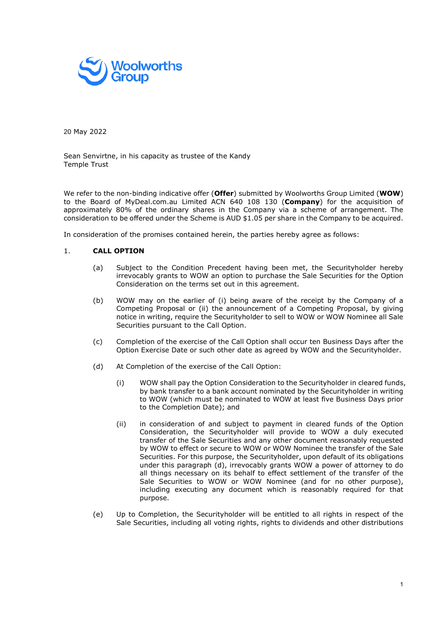

20 May 2022

Sean Senvirtne, in his capacity as trustee of the Kandy Temple Trust

We refer to the non-binding indicative offer (Offer) submitted by Woolworths Group Limited (WOW) to the Board of MyDeal.com.au Limited ACN 640 108 130 (Company) for the acquisition of approximately 80% of the ordinary shares in the Company via a scheme of arrangement. The consideration to be offered under the Scheme is AUD \$1.05 per share in the Company to be acquired.

In consideration of the promises contained herein, the parties hereby agree as follows:

# 1. CALL OPTION

- (a) Subject to the Condition Precedent having been met, the Securityholder hereby irrevocably grants to WOW an option to purchase the Sale Securities for the Option Consideration on the terms set out in this agreement.
- (b) WOW may on the earlier of (i) being aware of the receipt by the Company of a Competing Proposal or (ii) the announcement of a Competing Proposal, by giving notice in writing, require the Securityholder to sell to WOW or WOW Nominee all Sale Securities pursuant to the Call Option.
- (c) Completion of the exercise of the Call Option shall occur ten Business Days after the Option Exercise Date or such other date as agreed by WOW and the Securityholder.
- (d) At Completion of the exercise of the Call Option:
	- (i) WOW shall pay the Option Consideration to the Securityholder in cleared funds, by bank transfer to a bank account nominated by the Securityholder in writing to WOW (which must be nominated to WOW at least five Business Days prior to the Completion Date); and
	- (ii) in consideration of and subject to payment in cleared funds of the Option Consideration, the Securityholder will provide to WOW a duly executed transfer of the Sale Securities and any other document reasonably requested by WOW to effect or secure to WOW or WOW Nominee the transfer of the Sale Securities. For this purpose, the Securityholder, upon default of its obligations under this paragraph (d), irrevocably grants WOW a power of attorney to do all things necessary on its behalf to effect settlement of the transfer of the Sale Securities to WOW or WOW Nominee (and for no other purpose), including executing any document which is reasonably required for that purpose.
- (e) Up to Completion, the Securityholder will be entitled to all rights in respect of the Sale Securities, including all voting rights, rights to dividends and other distributions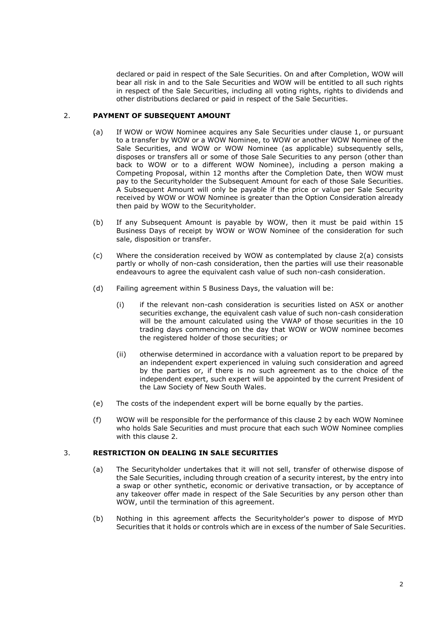declared or paid in respect of the Sale Securities. On and after Completion, WOW will bear all risk in and to the Sale Securities and WOW will be entitled to all such rights in respect of the Sale Securities, including all voting rights, rights to dividends and other distributions declared or paid in respect of the Sale Securities.

# 2. PAYMENT OF SUBSEQUENT AMOUNT

- (a) If WOW or WOW Nominee acquires any Sale Securities under clause 1, or pursuant to a transfer by WOW or a WOW Nominee, to WOW or another WOW Nominee of the Sale Securities, and WOW or WOW Nominee (as applicable) subsequently sells, disposes or transfers all or some of those Sale Securities to any person (other than back to WOW or to a different WOW Nominee), including a person making a Competing Proposal, within 12 months after the Completion Date, then WOW must pay to the Securityholder the Subsequent Amount for each of those Sale Securities. A Subsequent Amount will only be payable if the price or value per Sale Security received by WOW or WOW Nominee is greater than the Option Consideration already then paid by WOW to the Securityholder.
- (b) If any Subsequent Amount is payable by WOW, then it must be paid within 15 Business Days of receipt by WOW or WOW Nominee of the consideration for such sale, disposition or transfer.
- (c) Where the consideration received by WOW as contemplated by clause 2(a) consists partly or wholly of non-cash consideration, then the parties will use their reasonable endeavours to agree the equivalent cash value of such non-cash consideration.
- (d) Failing agreement within 5 Business Days, the valuation will be:
	- (i) if the relevant non-cash consideration is securities listed on ASX or another securities exchange, the equivalent cash value of such non-cash consideration will be the amount calculated using the VWAP of those securities in the 10 trading days commencing on the day that WOW or WOW nominee becomes the registered holder of those securities; or
	- (ii) otherwise determined in accordance with a valuation report to be prepared by an independent expert experienced in valuing such consideration and agreed by the parties or, if there is no such agreement as to the choice of the independent expert, such expert will be appointed by the current President of the Law Society of New South Wales.
- (e) The costs of the independent expert will be borne equally by the parties.
- (f) WOW will be responsible for the performance of this clause 2 by each WOW Nominee who holds Sale Securities and must procure that each such WOW Nominee complies with this clause 2.

# 3. RESTRICTION ON DEALING IN SALE SECURITIES

- (a) The Securityholder undertakes that it will not sell, transfer of otherwise dispose of the Sale Securities, including through creation of a security interest, by the entry into a swap or other synthetic, economic or derivative transaction, or by acceptance of any takeover offer made in respect of the Sale Securities by any person other than WOW, until the termination of this agreement.
- (b) Nothing in this agreement affects the Securityholder's power to dispose of MYD Securities that it holds or controls which are in excess of the number of Sale Securities.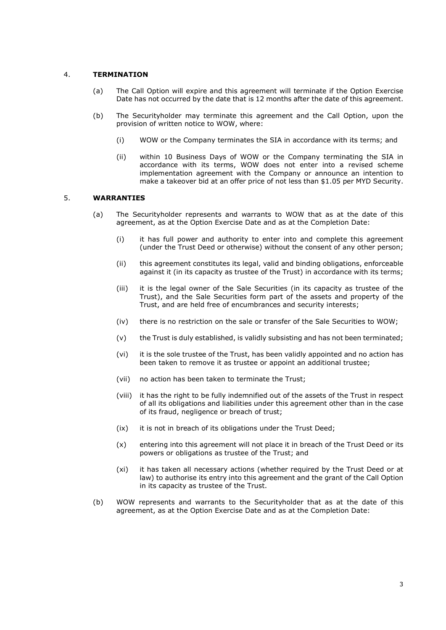# 4. TERMINATION

- (a) The Call Option will expire and this agreement will terminate if the Option Exercise Date has not occurred by the date that is 12 months after the date of this agreement.
- (b) The Securityholder may terminate this agreement and the Call Option, upon the provision of written notice to WOW, where:
	- (i) WOW or the Company terminates the SIA in accordance with its terms; and
	- (ii) within 10 Business Days of WOW or the Company terminating the SIA in accordance with its terms, WOW does not enter into a revised scheme implementation agreement with the Company or announce an intention to make a takeover bid at an offer price of not less than \$1.05 per MYD Security.

# 5. WARRANTIES

- (a) The Securityholder represents and warrants to WOW that as at the date of this agreement, as at the Option Exercise Date and as at the Completion Date:
	- (i) it has full power and authority to enter into and complete this agreement (under the Trust Deed or otherwise) without the consent of any other person;
	- (ii) this agreement constitutes its legal, valid and binding obligations, enforceable against it (in its capacity as trustee of the Trust) in accordance with its terms;
	- (iii) it is the legal owner of the Sale Securities (in its capacity as trustee of the Trust), and the Sale Securities form part of the assets and property of the Trust, and are held free of encumbrances and security interests;
	- (iv) there is no restriction on the sale or transfer of the Sale Securities to WOW;
	- (v) the Trust is duly established, is validly subsisting and has not been terminated;
	- (vi) it is the sole trustee of the Trust, has been validly appointed and no action has been taken to remove it as trustee or appoint an additional trustee;
	- (vii) no action has been taken to terminate the Trust;
	- (viii) it has the right to be fully indemnified out of the assets of the Trust in respect of all its obligations and liabilities under this agreement other than in the case of its fraud, negligence or breach of trust;
	- (ix) it is not in breach of its obligations under the Trust Deed;
	- (x) entering into this agreement will not place it in breach of the Trust Deed or its powers or obligations as trustee of the Trust; and
	- (xi) it has taken all necessary actions (whether required by the Trust Deed or at law) to authorise its entry into this agreement and the grant of the Call Option in its capacity as trustee of the Trust.
- (b) WOW represents and warrants to the Securityholder that as at the date of this agreement, as at the Option Exercise Date and as at the Completion Date: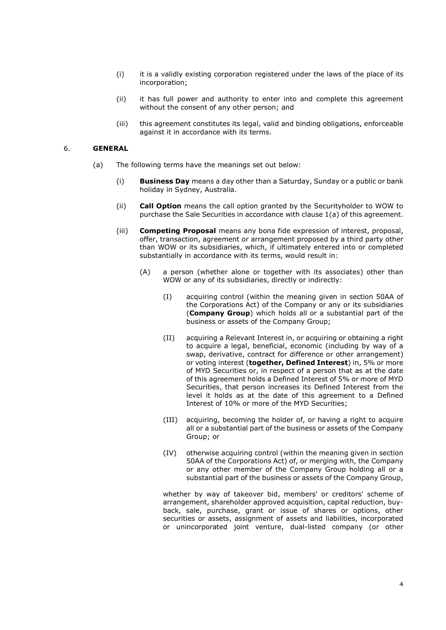- (i) it is a validly existing corporation registered under the laws of the place of its incorporation;
- (ii) it has full power and authority to enter into and complete this agreement without the consent of any other person; and
- (iii) this agreement constitutes its legal, valid and binding obligations, enforceable against it in accordance with its terms.

### 6. GENERAL

- (a) The following terms have the meanings set out below:
	- (i) Business Day means a day other than a Saturday, Sunday or a public or bank holiday in Sydney, Australia.
	- (ii) Call Option means the call option granted by the Securityholder to WOW to purchase the Sale Securities in accordance with clause 1(a) of this agreement.
	- (iii) Competing Proposal means any bona fide expression of interest, proposal, offer, transaction, agreement or arrangement proposed by a third party other than WOW or its subsidiaries, which, if ultimately entered into or completed substantially in accordance with its terms, would result in:
		- (A) a person (whether alone or together with its associates) other than WOW or any of its subsidiaries, directly or indirectly:
			- (I) acquiring control (within the meaning given in section 50AA of the Corporations Act) of the Company or any or its subsidiaries (Company Group) which holds all or a substantial part of the business or assets of the Company Group;
			- (II) acquiring a Relevant Interest in, or acquiring or obtaining a right to acquire a legal, beneficial, economic (including by way of a swap, derivative, contract for difference or other arrangement) or voting interest (together, Defined Interest) in, 5% or more of MYD Securities or, in respect of a person that as at the date of this agreement holds a Defined Interest of 5% or more of MYD Securities, that person increases its Defined Interest from the level it holds as at the date of this agreement to a Defined Interest of 10% or more of the MYD Securities;
			- (III) acquiring, becoming the holder of, or having a right to acquire all or a substantial part of the business or assets of the Company Group; or
			- (IV) otherwise acquiring control (within the meaning given in section 50AA of the Corporations Act) of, or merging with, the Company or any other member of the Company Group holding all or a substantial part of the business or assets of the Company Group,

whether by way of takeover bid, members' or creditors' scheme of arrangement, shareholder approved acquisition, capital reduction, buyback, sale, purchase, grant or issue of shares or options, other securities or assets, assignment of assets and liabilities, incorporated or unincorporated joint venture, dual-listed company (or other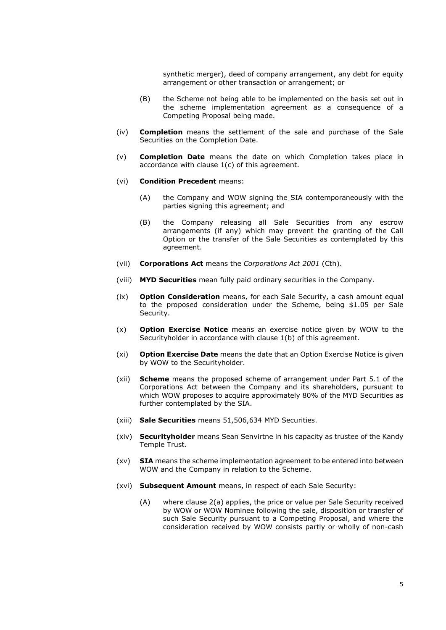synthetic merger), deed of company arrangement, any debt for equity arrangement or other transaction or arrangement; or

- (B) the Scheme not being able to be implemented on the basis set out in the scheme implementation agreement as a consequence of a Competing Proposal being made.
- (iv) Completion means the settlement of the sale and purchase of the Sale Securities on the Completion Date.
- (v) Completion Date means the date on which Completion takes place in accordance with clause 1(c) of this agreement.
- (vi) Condition Precedent means:
	- (A) the Company and WOW signing the SIA contemporaneously with the parties signing this agreement; and
	- (B) the Company releasing all Sale Securities from any escrow arrangements (if any) which may prevent the granting of the Call Option or the transfer of the Sale Securities as contemplated by this agreement.
- (vii) Corporations Act means the Corporations Act 2001 (Cth).
- (viii) MYD Securities mean fully paid ordinary securities in the Company.
- (ix) **Option Consideration** means, for each Sale Security, a cash amount equal to the proposed consideration under the Scheme, being \$1.05 per Sale Security.
- $(x)$  **Option Exercise Notice** means an exercise notice given by WOW to the Securityholder in accordance with clause 1(b) of this agreement.
- (xi) Option Exercise Date means the date that an Option Exercise Notice is given by WOW to the Securityholder.
- (xii) **Scheme** means the proposed scheme of arrangement under Part 5.1 of the Corporations Act between the Company and its shareholders, pursuant to which WOW proposes to acquire approximately 80% of the MYD Securities as further contemplated by the SIA.
- (xiii) Sale Securities means 51,506,634 MYD Securities.
- (xiv) Securityholder means Sean Senvirtne in his capacity as trustee of the Kandy Temple Trust.
- $(xv)$  SIA means the scheme implementation agreement to be entered into between WOW and the Company in relation to the Scheme.
- (xvi) Subsequent Amount means, in respect of each Sale Security:
	- (A) where clause 2(a) applies, the price or value per Sale Security received by WOW or WOW Nominee following the sale, disposition or transfer of such Sale Security pursuant to a Competing Proposal, and where the consideration received by WOW consists partly or wholly of non-cash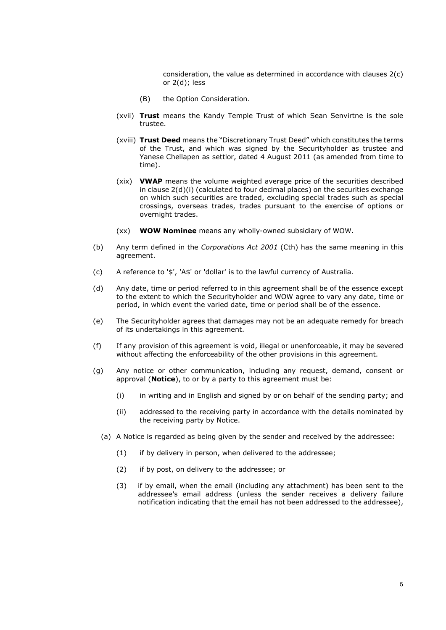consideration, the value as determined in accordance with clauses 2(c) or 2(d); less

- (B) the Option Consideration.
- (xvii) Trust means the Kandy Temple Trust of which Sean Senvirtne is the sole trustee.
- (xviii) Trust Deed means the "Discretionary Trust Deed" which constitutes the terms of the Trust, and which was signed by the Securityholder as trustee and Yanese Chellapen as settlor, dated 4 August 2011 (as amended from time to time).
- (xix) VWAP means the volume weighted average price of the securities described in clause 2(d)(i) (calculated to four decimal places) on the securities exchange on which such securities are traded, excluding special trades such as special crossings, overseas trades, trades pursuant to the exercise of options or overnight trades.
- (xx) WOW Nominee means any wholly-owned subsidiary of WOW.
- (b) Any term defined in the Corporations Act 2001 (Cth) has the same meaning in this agreement.
- (c) A reference to '\$', 'A\$' or 'dollar' is to the lawful currency of Australia.
- (d) Any date, time or period referred to in this agreement shall be of the essence except to the extent to which the Securityholder and WOW agree to vary any date, time or period, in which event the varied date, time or period shall be of the essence.
- (e) The Securityholder agrees that damages may not be an adequate remedy for breach of its undertakings in this agreement.
- (f) If any provision of this agreement is void, illegal or unenforceable, it may be severed without affecting the enforceability of the other provisions in this agreement.
- (g) Any notice or other communication, including any request, demand, consent or approval (Notice), to or by a party to this agreement must be:
	- (i) in writing and in English and signed by or on behalf of the sending party; and
	- (ii) addressed to the receiving party in accordance with the details nominated by the receiving party by Notice.
	- (a) A Notice is regarded as being given by the sender and received by the addressee:
		- (1) if by delivery in person, when delivered to the addressee;
		- (2) if by post, on delivery to the addressee; or
		- (3) if by email, when the email (including any attachment) has been sent to the addressee's email address (unless the sender receives a delivery failure notification indicating that the email has not been addressed to the addressee),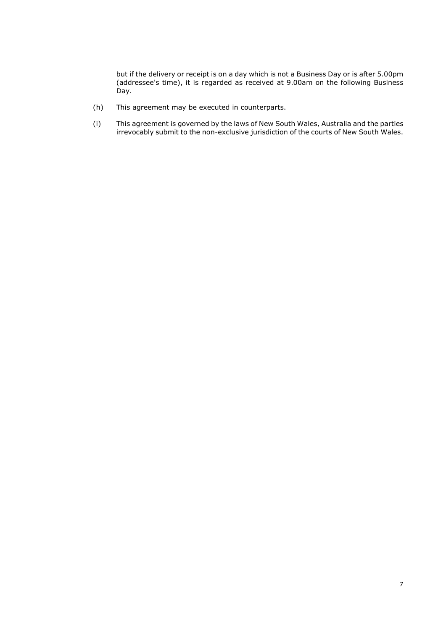but if the delivery or receipt is on a day which is not a Business Day or is after 5.00pm (addressee's time), it is regarded as received at 9.00am on the following Business Day.

- (h) This agreement may be executed in counterparts.
- (i) This agreement is governed by the laws of New South Wales, Australia and the parties irrevocably submit to the non-exclusive jurisdiction of the courts of New South Wales.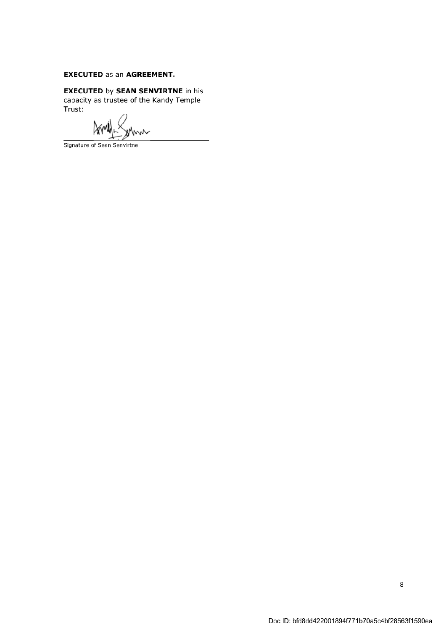# **EXECUTED as an AGREEMENT.**

**EXECUTED by SEAN SENVIRTNE in his** capacity as trustee of the Kandy Temple Trust:

Am mm

Signature of Sean Senvirtne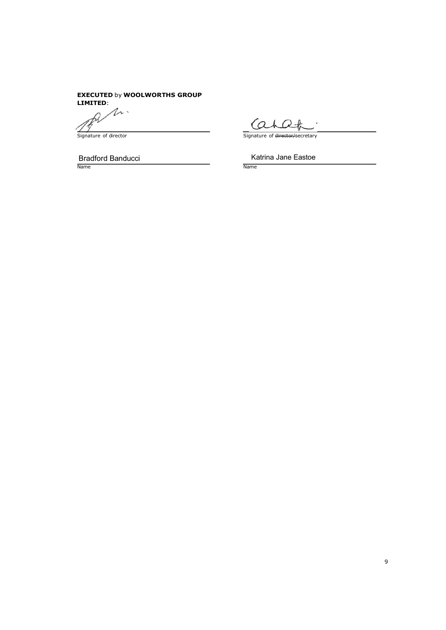# **EXECUTED by WOOLWORTHS GROUP** LIMITED:

 $\Lambda$ .

Signature of director

Bradford Banducci Name Name

Katrina Jane Eastoe

Signature of director/secretary

 $\overline{\phantom{a}}$ .

Cahat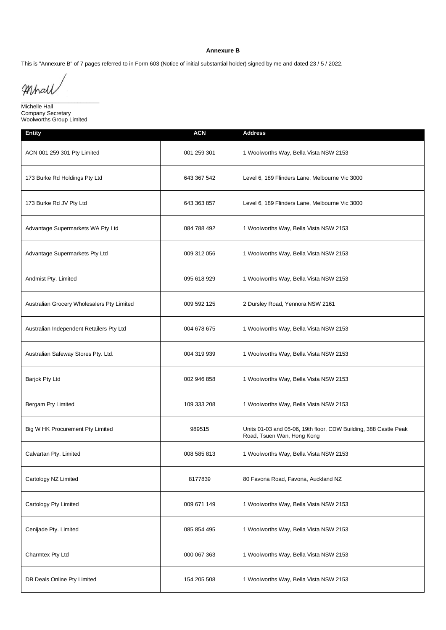#### **Annexure B**

This is "Annexure B" of 7 pages referred to in Form 603 (Notice of initial substantial holder) signed by me and dated 23 / 5 / 2022.

Mhall

 $\frac{1}{2}$  ,  $\frac{1}{2}$  ,  $\frac{1}{2}$  ,  $\frac{1}{2}$  ,  $\frac{1}{2}$  ,  $\frac{1}{2}$  ,  $\frac{1}{2}$  ,  $\frac{1}{2}$  ,  $\frac{1}{2}$  ,  $\frac{1}{2}$  ,  $\frac{1}{2}$  ,  $\frac{1}{2}$  ,  $\frac{1}{2}$  ,  $\frac{1}{2}$  ,  $\frac{1}{2}$  ,  $\frac{1}{2}$  ,  $\frac{1}{2}$  ,  $\frac{1}{2}$  ,  $\frac{1$ Michelle Hall Company Secretary Woolworths Group Limited

| <b>Entity</b>                              | <b>ACN</b>  | <b>Address</b>                                                                                 |
|--------------------------------------------|-------------|------------------------------------------------------------------------------------------------|
| ACN 001 259 301 Pty Limited                | 001 259 301 | 1 Woolworths Way, Bella Vista NSW 2153                                                         |
| 173 Burke Rd Holdings Pty Ltd              | 643 367 542 | Level 6, 189 Flinders Lane, Melbourne Vic 3000                                                 |
| 173 Burke Rd JV Pty Ltd                    | 643 363 857 | Level 6, 189 Flinders Lane, Melbourne Vic 3000                                                 |
| Advantage Supermarkets WA Pty Ltd          | 084 788 492 | 1 Woolworths Way, Bella Vista NSW 2153                                                         |
| Advantage Supermarkets Pty Ltd             | 009 312 056 | 1 Woolworths Way, Bella Vista NSW 2153                                                         |
| Andmist Pty. Limited                       | 095 618 929 | 1 Woolworths Way, Bella Vista NSW 2153                                                         |
| Australian Grocery Wholesalers Pty Limited | 009 592 125 | 2 Dursley Road, Yennora NSW 2161                                                               |
| Australian Independent Retailers Pty Ltd   | 004 678 675 | 1 Woolworths Way, Bella Vista NSW 2153                                                         |
| Australian Safeway Stores Pty. Ltd.        | 004 319 939 | 1 Woolworths Way, Bella Vista NSW 2153                                                         |
| Barjok Pty Ltd                             | 002 946 858 | 1 Woolworths Way, Bella Vista NSW 2153                                                         |
| Bergam Pty Limited                         | 109 333 208 | 1 Woolworths Way, Bella Vista NSW 2153                                                         |
| Big W HK Procurement Pty Limited           | 989515      | Units 01-03 and 05-06, 19th floor, CDW Building, 388 Castle Peak<br>Road, Tsuen Wan, Hong Kong |
| Calvartan Pty. Limited                     | 008 585 813 | 1 Woolworths Way, Bella Vista NSW 2153                                                         |
| Cartology NZ Limited                       | 8177839     | 80 Favona Road, Favona, Auckland NZ                                                            |
| Cartology Pty Limited                      | 009 671 149 | 1 Woolworths Way, Bella Vista NSW 2153                                                         |
| Cenijade Pty. Limited                      | 085 854 495 | 1 Woolworths Way, Bella Vista NSW 2153                                                         |
| Charmtex Pty Ltd                           | 000 067 363 | 1 Woolworths Way, Bella Vista NSW 2153                                                         |
| DB Deals Online Pty Limited                | 154 205 508 | 1 Woolworths Way, Bella Vista NSW 2153                                                         |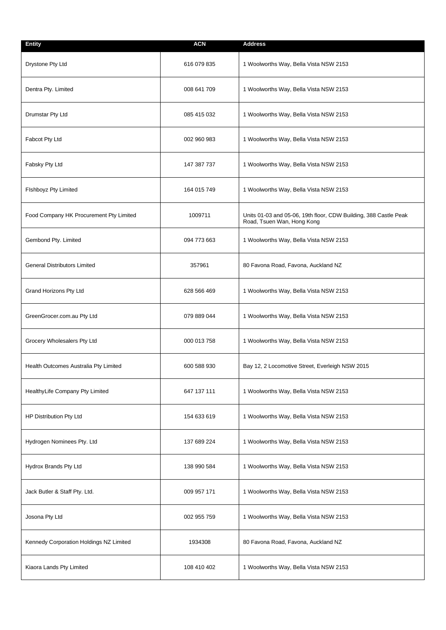| <b>Entity</b>                           | <b>ACN</b>  | <b>Address</b>                                                                                 |
|-----------------------------------------|-------------|------------------------------------------------------------------------------------------------|
| Drystone Pty Ltd                        | 616 079 835 | 1 Woolworths Way, Bella Vista NSW 2153                                                         |
| Dentra Pty. Limited                     | 008 641 709 | 1 Woolworths Way, Bella Vista NSW 2153                                                         |
| Drumstar Pty Ltd                        | 085 415 032 | 1 Woolworths Way, Bella Vista NSW 2153                                                         |
| Fabcot Pty Ltd                          | 002 960 983 | 1 Woolworths Way, Bella Vista NSW 2153                                                         |
| Fabsky Pty Ltd                          | 147 387 737 | 1 Woolworths Way, Bella Vista NSW 2153                                                         |
| Fishboyz Pty Limited                    | 164 015 749 | 1 Woolworths Way, Bella Vista NSW 2153                                                         |
| Food Company HK Procurement Pty Limited | 1009711     | Units 01-03 and 05-06, 19th floor, CDW Building, 388 Castle Peak<br>Road, Tsuen Wan, Hong Kong |
| Gembond Pty. Limited                    | 094 773 663 | 1 Woolworths Way, Bella Vista NSW 2153                                                         |
| <b>General Distributors Limited</b>     | 357961      | 80 Favona Road, Favona, Auckland NZ                                                            |
| Grand Horizons Pty Ltd                  | 628 566 469 | 1 Woolworths Way, Bella Vista NSW 2153                                                         |
| GreenGrocer.com.au Pty Ltd              | 079 889 044 | 1 Woolworths Way, Bella Vista NSW 2153                                                         |
| Grocery Wholesalers Pty Ltd             | 000 013 758 | 1 Woolworths Way, Bella Vista NSW 2153                                                         |
| Health Outcomes Australia Pty Limited   | 600 588 930 | Bay 12, 2 Locomotive Street, Everleigh NSW 2015                                                |
| HealthyLife Company Pty Limited         | 647 137 111 | 1 Woolworths Way, Bella Vista NSW 2153                                                         |
| HP Distribution Pty Ltd                 | 154 633 619 | 1 Woolworths Way, Bella Vista NSW 2153                                                         |
| Hydrogen Nominees Pty. Ltd              | 137 689 224 | 1 Woolworths Way, Bella Vista NSW 2153                                                         |
| Hydrox Brands Pty Ltd                   | 138 990 584 | 1 Woolworths Way, Bella Vista NSW 2153                                                         |
| Jack Butler & Staff Pty. Ltd.           | 009 957 171 | 1 Woolworths Way, Bella Vista NSW 2153                                                         |
| Josona Pty Ltd                          | 002 955 759 | 1 Woolworths Way, Bella Vista NSW 2153                                                         |
| Kennedy Corporation Holdings NZ Limited | 1934308     | 80 Favona Road, Favona, Auckland NZ                                                            |
| Kiaora Lands Pty Limited                | 108 410 402 | 1 Woolworths Way, Bella Vista NSW 2153                                                         |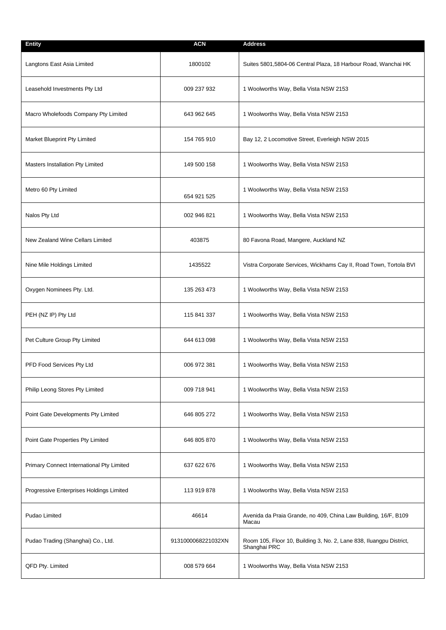| <b>Entity</b>                             | <b>ACN</b>         | <b>Address</b>                                                                      |
|-------------------------------------------|--------------------|-------------------------------------------------------------------------------------|
| Langtons East Asia Limited                | 1800102            | Suites 5801,5804-06 Central Plaza, 18 Harbour Road, Wanchai HK                      |
| Leasehold Investments Pty Ltd             | 009 237 932        | 1 Woolworths Way, Bella Vista NSW 2153                                              |
| Macro Wholefoods Company Pty Limited      | 643 962 645        | 1 Woolworths Way, Bella Vista NSW 2153                                              |
| Market Blueprint Pty Limited              | 154 765 910        | Bay 12, 2 Locomotive Street, Everleigh NSW 2015                                     |
| Masters Installation Pty Limited          | 149 500 158        | 1 Woolworths Way, Bella Vista NSW 2153                                              |
| Metro 60 Pty Limited                      | 654 921 525        | 1 Woolworths Way, Bella Vista NSW 2153                                              |
| Nalos Pty Ltd                             | 002 946 821        | 1 Woolworths Way, Bella Vista NSW 2153                                              |
| New Zealand Wine Cellars Limited          | 403875             | 80 Favona Road, Mangere, Auckland NZ                                                |
| Nine Mile Holdings Limited                | 1435522            | Vistra Corporate Services, Wickhams Cay II, Road Town, Tortola BVI                  |
| Oxygen Nominees Pty. Ltd.                 | 135 263 473        | 1 Woolworths Way, Bella Vista NSW 2153                                              |
| PEH (NZ IP) Pty Ltd                       | 115 841 337        | 1 Woolworths Way, Bella Vista NSW 2153                                              |
| Pet Culture Group Pty Limited             | 644 613 098        | 1 Woolworths Way, Bella Vista NSW 2153                                              |
| PFD Food Services Pty Ltd                 | 006 972 381        | 1 Woolworths Way, Bella Vista NSW 2153                                              |
| Philip Leong Stores Pty Limited           | 009 718 941        | 1 Woolworths Way, Bella Vista NSW 2153                                              |
| Point Gate Developments Pty Limited       | 646 805 272        | 1 Woolworths Way, Bella Vista NSW 2153                                              |
| Point Gate Properties Pty Limited         | 646 805 870        | 1 Woolworths Way, Bella Vista NSW 2153                                              |
| Primary Connect International Pty Limited | 637 622 676        | 1 Woolworths Way, Bella Vista NSW 2153                                              |
| Progressive Enterprises Holdings Limited  | 113 919 878        | 1 Woolworths Way, Bella Vista NSW 2153                                              |
| Pudao Limited                             | 46614              | Avenida da Praia Grande, no 409, China Law Building, 16/F, B109<br>Macau            |
| Pudao Trading (Shanghai) Co., Ltd.        | 9131000068221032XN | Room 105, Floor 10, Building 3, No. 2, Lane 838, Iluangpu District,<br>Shanghai PRC |
| QFD Pty. Limited                          | 008 579 664        | 1 Woolworths Way, Bella Vista NSW 2153                                              |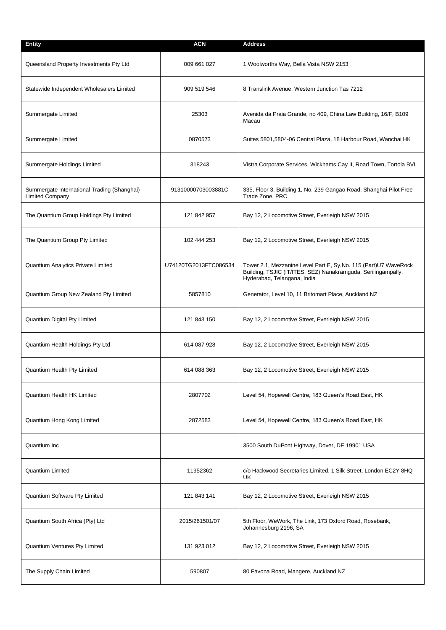| <b>Entity</b>                                                         | <b>ACN</b>            | <b>Address</b>                                                                                                                                                  |
|-----------------------------------------------------------------------|-----------------------|-----------------------------------------------------------------------------------------------------------------------------------------------------------------|
| Queensland Property Investments Pty Ltd                               | 009 661 027           | 1 Woolworths Way, Bella Vista NSW 2153                                                                                                                          |
| Statewide Independent Wholesalers Limited                             | 909 519 546           | 8 Translink Avenue, Western Junction Tas 7212                                                                                                                   |
| Summergate Limited                                                    | 25303                 | Avenida da Praia Grande, no 409, China Law Building, 16/F, B109<br>Macau                                                                                        |
| Summergate Limited                                                    | 0870573               | Suites 5801,5804-06 Central Plaza, 18 Harbour Road, Wanchai HK                                                                                                  |
| Summergate Holdings Limited                                           | 318243                | Vistra Corporate Services, Wickhams Cay II, Road Town, Tortola BVI                                                                                              |
| Summergate International Trading (Shanghai)<br><b>Limited Company</b> | 91310000703003881C    | 335, Floor 3, Building 1, No. 239 Gangao Road, Shanghai Pilot Free<br>Trade Zone, PRC                                                                           |
| The Quantium Group Holdings Pty Limited                               | 121 842 957           | Bay 12, 2 Locomotive Street, Everleigh NSW 2015                                                                                                                 |
| The Quantium Group Pty Limited                                        | 102 444 253           | Bay 12, 2 Locomotive Street, Everleigh NSW 2015                                                                                                                 |
| Quantium Analytics Private Limited                                    | U74120TG2013FTC086534 | Tower 2.1, Mezzanine Level Part E, Sy.No. 115 (Part)U7 WaveRock<br>Building, TSJIC (IT/ITES, SEZ) Nanakramguda, Serilingampally,<br>Hyderabad, Telangana, India |
| Quantium Group New Zealand Pty Limited                                | 5857810               | Generator, Level 10, 11 Britomart Place, Auckland NZ                                                                                                            |
| Quantium Digital Pty Limited                                          | 121 843 150           | Bay 12, 2 Locomotive Street, Everleigh NSW 2015                                                                                                                 |
| Quantium Health Holdings Pty Ltd                                      | 614 087 928           | Bay 12, 2 Locomotive Street, Everleigh NSW 2015                                                                                                                 |
| Quantium Health Pty Limited                                           | 614 088 363           | Bay 12, 2 Locomotive Street, Everleigh NSW 2015                                                                                                                 |
| <b>Quantium Health HK Limited</b>                                     | 2807702               | Level 54, Hopewell Centre, 183 Queen's Road East, HK                                                                                                            |
| Quantium Hong Kong Limited                                            | 2872583               | Level 54, Hopewell Centre, 183 Queen's Road East, HK                                                                                                            |
| Quantium Inc                                                          |                       | 3500 South DuPont Highway, Dover, DE 19901 USA                                                                                                                  |
| <b>Quantium Limited</b>                                               | 11952362              | c/o Hackwood Secretaries Limited, 1 Silk Street, London EC2Y 8HQ<br>UK.                                                                                         |
| Quantium Software Pty Limited                                         | 121 843 141           | Bay 12, 2 Locomotive Street, Everleigh NSW 2015                                                                                                                 |
| Quantium South Africa (Pty) Ltd                                       | 2015/261501/07        | 5th Floor, WeWork, The Link, 173 Oxford Road, Rosebank,<br>Johannesburg 2196, SA                                                                                |
| Quantium Ventures Pty Limited                                         | 131 923 012           | Bay 12, 2 Locomotive Street, Everleigh NSW 2015                                                                                                                 |
| The Supply Chain Limited                                              | 590807                | 80 Favona Road, Mangere, Auckland NZ                                                                                                                            |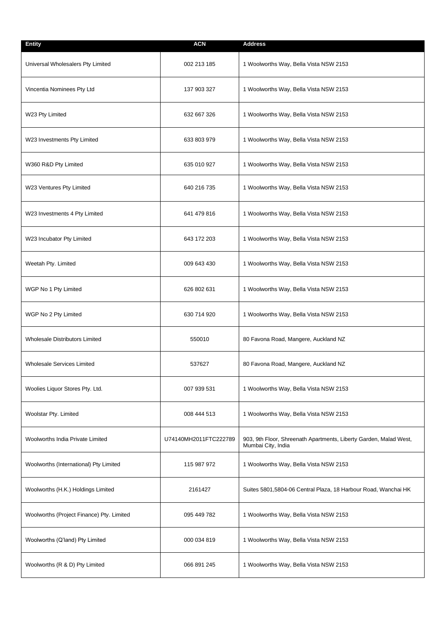| <b>Entity</b>                             | <b>ACN</b>            | <b>Address</b>                                                                          |
|-------------------------------------------|-----------------------|-----------------------------------------------------------------------------------------|
| Universal Wholesalers Pty Limited         | 002 213 185           | 1 Woolworths Way, Bella Vista NSW 2153                                                  |
| Vincentia Nominees Pty Ltd                | 137 903 327           | 1 Woolworths Way, Bella Vista NSW 2153                                                  |
| W23 Pty Limited                           | 632 667 326           | 1 Woolworths Way, Bella Vista NSW 2153                                                  |
| W23 Investments Pty Limited               | 633 803 979           | 1 Woolworths Way, Bella Vista NSW 2153                                                  |
| W360 R&D Pty Limited                      | 635 010 927           | 1 Woolworths Way, Bella Vista NSW 2153                                                  |
| W23 Ventures Pty Limited                  | 640 216 735           | 1 Woolworths Way, Bella Vista NSW 2153                                                  |
| W23 Investments 4 Pty Limited             | 641 479 816           | 1 Woolworths Way, Bella Vista NSW 2153                                                  |
| W23 Incubator Pty Limited                 | 643 172 203           | 1 Woolworths Way, Bella Vista NSW 2153                                                  |
| Weetah Pty. Limited                       | 009 643 430           | 1 Woolworths Way, Bella Vista NSW 2153                                                  |
| WGP No 1 Pty Limited                      | 626 802 631           | 1 Woolworths Way, Bella Vista NSW 2153                                                  |
| WGP No 2 Pty Limited                      | 630 714 920           | 1 Woolworths Way, Bella Vista NSW 2153                                                  |
| <b>Wholesale Distributors Limited</b>     | 550010                | 80 Favona Road, Mangere, Auckland NZ                                                    |
| <b>Wholesale Services Limited</b>         | 537627                | 80 Favona Road, Mangere, Auckland NZ                                                    |
| Woolies Liquor Stores Pty. Ltd.           | 007 939 531           | 1 Woolworths Way, Bella Vista NSW 2153                                                  |
| Woolstar Pty. Limited                     | 008 444 513           | 1 Woolworths Way, Bella Vista NSW 2153                                                  |
| Woolworths India Private Limited          | U74140MH2011FTC222789 | 903, 9th Floor, Shreenath Apartments, Liberty Garden, Malad West,<br>Mumbai City, India |
| Woolworths (International) Pty Limited    | 115 987 972           | 1 Woolworths Way, Bella Vista NSW 2153                                                  |
| Woolworths (H.K.) Holdings Limited        | 2161427               | Suites 5801,5804-06 Central Plaza, 18 Harbour Road, Wanchai HK                          |
| Woolworths (Project Finance) Pty. Limited | 095 449 782           | 1 Woolworths Way, Bella Vista NSW 2153                                                  |
| Woolworths (Q'land) Pty Limited           | 000 034 819           | 1 Woolworths Way, Bella Vista NSW 2153                                                  |
| Woolworths (R & D) Pty Limited            | 066 891 245           | 1 Woolworths Way, Bella Vista NSW 2153                                                  |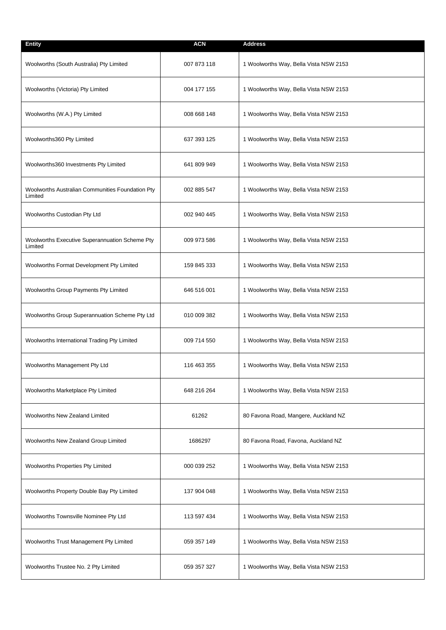| <b>Entity</b>                                               | <b>ACN</b>  | <b>Address</b>                         |
|-------------------------------------------------------------|-------------|----------------------------------------|
| Woolworths (South Australia) Pty Limited                    | 007 873 118 | 1 Woolworths Way, Bella Vista NSW 2153 |
| Woolworths (Victoria) Pty Limited                           | 004 177 155 | 1 Woolworths Way, Bella Vista NSW 2153 |
| Woolworths (W.A.) Pty Limited                               | 008 668 148 | 1 Woolworths Way, Bella Vista NSW 2153 |
| Woolworths360 Pty Limited                                   | 637 393 125 | 1 Woolworths Way, Bella Vista NSW 2153 |
| Woolworths360 Investments Pty Limited                       | 641 809 949 | 1 Woolworths Way, Bella Vista NSW 2153 |
| Woolworths Australian Communities Foundation Pty<br>Limited | 002 885 547 | 1 Woolworths Way, Bella Vista NSW 2153 |
| Woolworths Custodian Pty Ltd                                | 002 940 445 | 1 Woolworths Way, Bella Vista NSW 2153 |
| Woolworths Executive Superannuation Scheme Pty<br>Limited   | 009 973 586 | 1 Woolworths Way, Bella Vista NSW 2153 |
| Woolworths Format Development Pty Limited                   | 159 845 333 | 1 Woolworths Way, Bella Vista NSW 2153 |
| Woolworths Group Payments Pty Limited                       | 646 516 001 | 1 Woolworths Way, Bella Vista NSW 2153 |
| Woolworths Group Superannuation Scheme Pty Ltd              | 010 009 382 | 1 Woolworths Way, Bella Vista NSW 2153 |
| Woolworths International Trading Pty Limited                | 009 714 550 | 1 Woolworths Way, Bella Vista NSW 2153 |
| Woolworths Management Pty Ltd                               | 116 463 355 | 1 Woolworths Way, Bella Vista NSW 2153 |
| Woolworths Marketplace Pty Limited                          | 648 216 264 | 1 Woolworths Way, Bella Vista NSW 2153 |
| Woolworths New Zealand Limited                              | 61262       | 80 Favona Road, Mangere, Auckland NZ   |
| Woolworths New Zealand Group Limited                        | 1686297     | 80 Favona Road, Favona, Auckland NZ    |
| Woolworths Properties Pty Limited                           | 000 039 252 | 1 Woolworths Way, Bella Vista NSW 2153 |
| Woolworths Property Double Bay Pty Limited                  | 137 904 048 | 1 Woolworths Way, Bella Vista NSW 2153 |
| Woolworths Townsville Nominee Pty Ltd                       | 113 597 434 | 1 Woolworths Way, Bella Vista NSW 2153 |
| Woolworths Trust Management Pty Limited                     | 059 357 149 | 1 Woolworths Way, Bella Vista NSW 2153 |
| Woolworths Trustee No. 2 Pty Limited                        | 059 357 327 | 1 Woolworths Way, Bella Vista NSW 2153 |